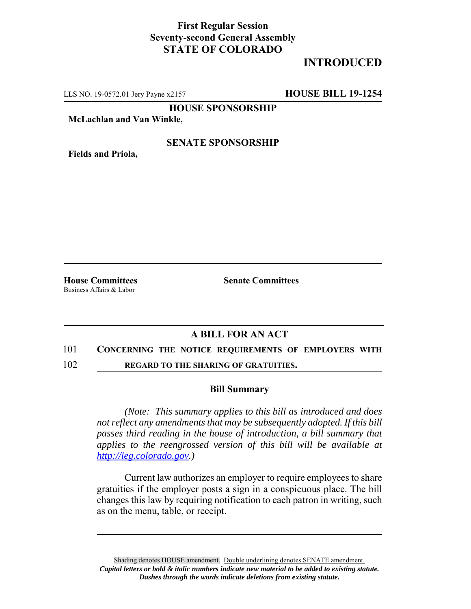### **First Regular Session Seventy-second General Assembly STATE OF COLORADO**

# **INTRODUCED**

LLS NO. 19-0572.01 Jery Payne x2157 **HOUSE BILL 19-1254**

**HOUSE SPONSORSHIP**

**McLachlan and Van Winkle,**

**Fields and Priola,**

### **SENATE SPONSORSHIP**

**House Committees Senate Committees** Business Affairs & Labor

## **A BILL FOR AN ACT**

#### 101 **CONCERNING THE NOTICE REQUIREMENTS OF EMPLOYERS WITH**

102 **REGARD TO THE SHARING OF GRATUITIES.**

#### **Bill Summary**

*(Note: This summary applies to this bill as introduced and does not reflect any amendments that may be subsequently adopted. If this bill passes third reading in the house of introduction, a bill summary that applies to the reengrossed version of this bill will be available at http://leg.colorado.gov.)*

Current law authorizes an employer to require employees to share gratuities if the employer posts a sign in a conspicuous place. The bill changes this law by requiring notification to each patron in writing, such as on the menu, table, or receipt.

Shading denotes HOUSE amendment. Double underlining denotes SENATE amendment. *Capital letters or bold & italic numbers indicate new material to be added to existing statute. Dashes through the words indicate deletions from existing statute.*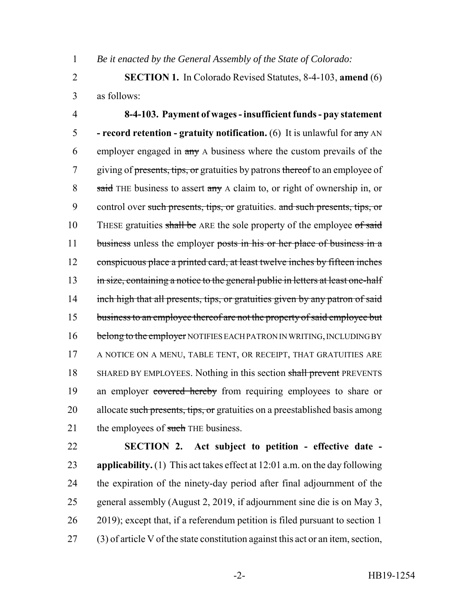1 *Be it enacted by the General Assembly of the State of Colorado:*

2 **SECTION 1.** In Colorado Revised Statutes, 8-4-103, **amend** (6) 3 as follows:

4 **8-4-103. Payment of wages - insufficient funds - pay statement** 5 **- record retention - gratuity notification.** (6) It is unlawful for any AN 6 employer engaged in any A business where the custom prevails of the 7 giving of presents, tips, or gratuities by patrons thereof to an employee of 8 said THE business to assert any A claim to, or right of ownership in, or 9 control over such presents, tips, or gratuities. and such presents, tips, or 10 THESE gratuities shall be ARE the sole property of the employee of said 11 business unless the employer posts in his or her place of business in a 12 conspicuous place a printed card, at least twelve inches by fifteen inches 13 in size, containing a notice to the general public in letters at least one-half 14 inch high that all presents, tips, or gratuities given by any patron of said 15 business to an employee thereof are not the property of said employee but 16 belong to the employer NOTIFIES EACH PATRON IN WRITING, INCLUDING BY 17 A NOTICE ON A MENU, TABLE TENT, OR RECEIPT, THAT GRATUITIES ARE 18 SHARED BY EMPLOYEES. Nothing in this section shall prevent PREVENTS 19 an employer covered hereby from requiring employees to share or 20 allocate such presents, tips, or gratuities on a preestablished basis among 21 the employees of such THE business.

 **SECTION 2. Act subject to petition - effective date - applicability.** (1) This act takes effect at 12:01 a.m. on the day following the expiration of the ninety-day period after final adjournment of the general assembly (August 2, 2019, if adjournment sine die is on May 3, 2019); except that, if a referendum petition is filed pursuant to section 1 (3) of article V of the state constitution against this act or an item, section,